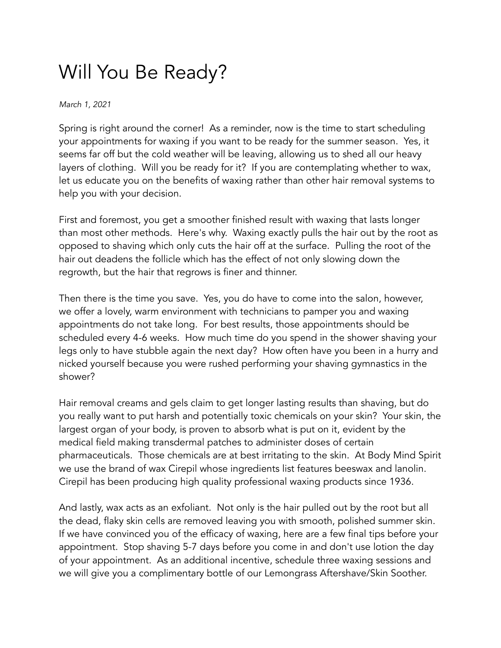## Will You Be Ready?

*March 1, 2021*

Spring is right around the corner! As a reminder, now is the time to start scheduling your appointments for waxing if you want to be ready for the summer season. Yes, it seems far off but the cold weather will be leaving, allowing us to shed all our heavy layers of clothing. Will you be ready for it? If you are contemplating whether to wax, let us educate you on the benefits of waxing rather than other hair removal systems to help you with your decision.

First and foremost, you get a smoother finished result with waxing that lasts longer than most other methods. Here's why. Waxing exactly pulls the hair out by the root as opposed to shaving which only cuts the hair off at the surface. Pulling the root of the hair out deadens the follicle which has the effect of not only slowing down the regrowth, but the hair that regrows is finer and thinner.

Then there is the time you save. Yes, you do have to come into the salon, however, we offer a lovely, warm environment with technicians to pamper you and waxing appointments do not take long. For best results, those appointments should be scheduled every 4-6 weeks. How much time do you spend in the shower shaving your legs only to have stubble again the next day? How often have you been in a hurry and nicked yourself because you were rushed performing your shaving gymnastics in the shower?

Hair removal creams and gels claim to get longer lasting results than shaving, but do you really want to put harsh and potentially toxic chemicals on your skin? Your skin, the largest organ of your body, is proven to absorb what is put on it, evident by the medical field making transdermal patches to administer doses of certain pharmaceuticals. Those chemicals are at best irritating to the skin. At Body Mind Spirit we use the brand of wax Cirepil whose ingredients list features beeswax and lanolin. Cirepil has been producing high quality professional waxing products since 1936.

And lastly, wax acts as an exfoliant. Not only is the hair pulled out by the root but all the dead, flaky skin cells are removed leaving you with smooth, polished summer skin. If we have convinced you of the efficacy of waxing, here are a few final tips before your appointment. Stop shaving 5-7 days before you come in and don't use lotion the day of your appointment. As an additional incentive, schedule three waxing sessions and we will give you a complimentary bottle of our Lemongrass Aftershave/Skin Soother.